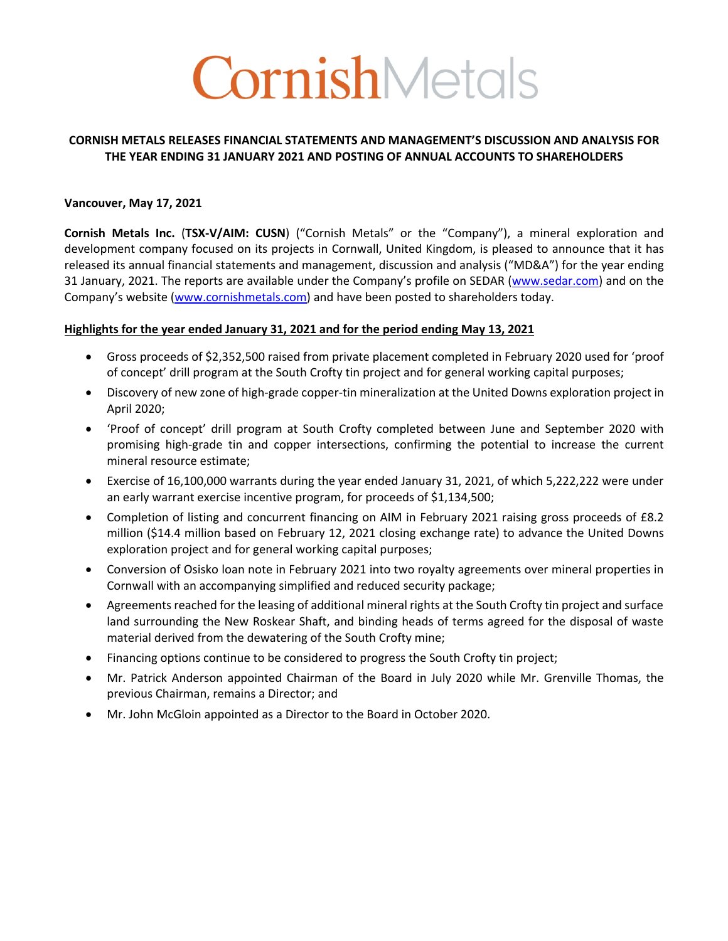# CornishMetals

### **CORNISH METALS RELEASES FINANCIAL STATEMENTS AND MANAGEMENT'S DISCUSSION AND ANALYSIS FOR THE YEAR ENDING 31 JANUARY 2021 AND POSTING OF ANNUAL ACCOUNTS TO SHAREHOLDERS**

### **Vancouver, May 17, 2021**

**Cornish Metals Inc.** (**TSX-V/AIM: CUSN**) ("Cornish Metals" or the "Company"), a mineral exploration and development company focused on its projects in Cornwall, United Kingdom, is pleased to announce that it has released its annual financial statements and management, discussion and analysis ("MD&A") for the year ending 31 January, 2021. The reports are available under the Company's profile on SEDAR (www.sedar.com) and on the Company's website (www.cornishmetals.com) and have been posted to shareholders today.

### **Highlights for the year ended January 31, 2021 and for the period ending May 13, 2021**

- Gross proceeds of \$2,352,500 raised from private placement completed in February 2020 used for 'proof of concept' drill program at the South Crofty tin project and for general working capital purposes;
- Discovery of new zone of high-grade copper-tin mineralization at the United Downs exploration project in April 2020;
- 'Proof of concept' drill program at South Crofty completed between June and September 2020 with promising high-grade tin and copper intersections, confirming the potential to increase the current mineral resource estimate;
- Exercise of 16,100,000 warrants during the year ended January 31, 2021, of which 5,222,222 were under an early warrant exercise incentive program, for proceeds of \$1,134,500;
- Completion of listing and concurrent financing on AIM in February 2021 raising gross proceeds of £8.2 million (\$14.4 million based on February 12, 2021 closing exchange rate) to advance the United Downs exploration project and for general working capital purposes;
- Conversion of Osisko loan note in February 2021 into two royalty agreements over mineral properties in Cornwall with an accompanying simplified and reduced security package;
- Agreements reached for the leasing of additional mineral rights at the South Crofty tin project and surface land surrounding the New Roskear Shaft, and binding heads of terms agreed for the disposal of waste material derived from the dewatering of the South Crofty mine;
- Financing options continue to be considered to progress the South Crofty tin project;
- Mr. Patrick Anderson appointed Chairman of the Board in July 2020 while Mr. Grenville Thomas, the previous Chairman, remains a Director; and
- Mr. John McGloin appointed as a Director to the Board in October 2020.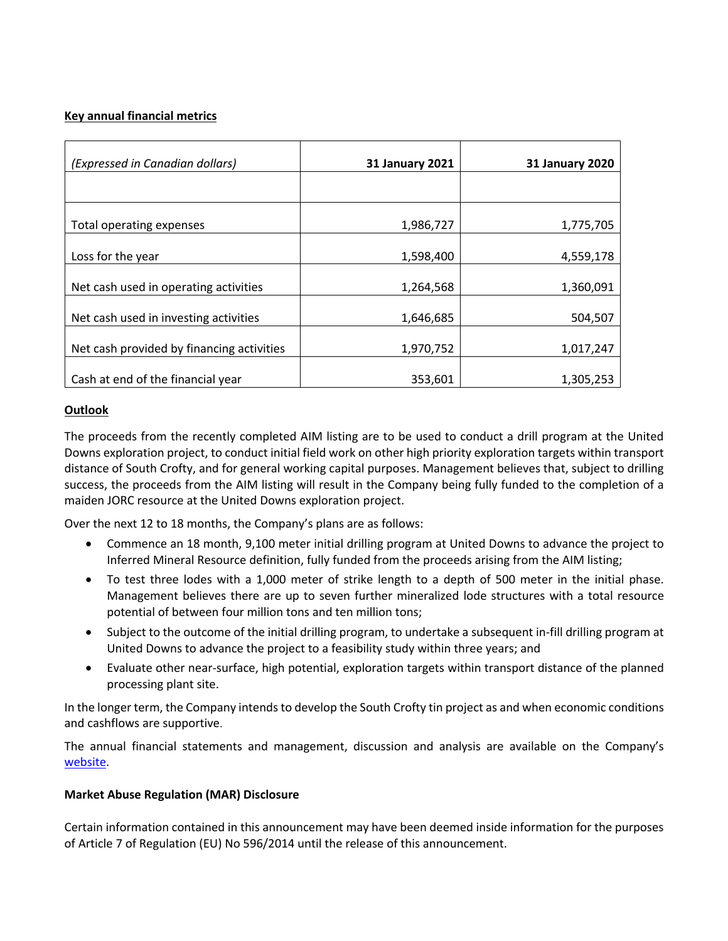### **Key annual financial metrics**

| (Expressed in Canadian dollars)           | <b>31 January 2021</b> | <b>31 January 2020</b> |
|-------------------------------------------|------------------------|------------------------|
|                                           |                        |                        |
| Total operating expenses                  | 1,986,727              | 1,775,705              |
| Loss for the year                         | 1,598,400              | 4,559,178              |
| Net cash used in operating activities     | 1,264,568              | 1,360,091              |
| Net cash used in investing activities     | 1,646,685              | 504,507                |
| Net cash provided by financing activities | 1,970,752              | 1,017,247              |
| Cash at end of the financial year         | 353,601                | 1,305,253              |

### **Outlook**

The proceeds from the recently completed AIM listing are to be used to conduct a drill program at the United Downs exploration project, to conduct initial field work on other high priority exploration targets within transport distance of South Crofty, and for general working capital purposes. Management believes that, subject to drilling success, the proceeds from the AIM listing will result in the Company being fully funded to the completion of a maiden JORC resource at the United Downs exploration project.

Over the next 12 to 18 months, the Company's plans are as follows:

- Commence an 18 month, 9,100 meter initial drilling program at United Downs to advance the project to Inferred Mineral Resource definition, fully funded from the proceeds arising from the AIM listing;
- To test three lodes with a 1,000 meter of strike length to a depth of 500 meter in the initial phase. Management believes there are up to seven further mineralized lode structures with a total resource potential of between four million tons and ten million tons;
- Subject to the outcome of the initial drilling program, to undertake a subsequent in-fill drilling program at United Downs to advance the project to a feasibility study within three years; and
- Evaluate other near-surface, high potential, exploration targets within transport distance of the planned processing plant site.

In the longer term, the Company intends to develop the South Crofty tin project as and when economic conditions and cashflows are supportive.

The annual financial statements and management, discussion and analysis are available on the Company's website.

### **Market Abuse Regulation (MAR) Disclosure**

Certain information contained in this announcement may have been deemed inside information for the purposes of Article 7 of Regulation (EU) No 596/2014 until the release of this announcement.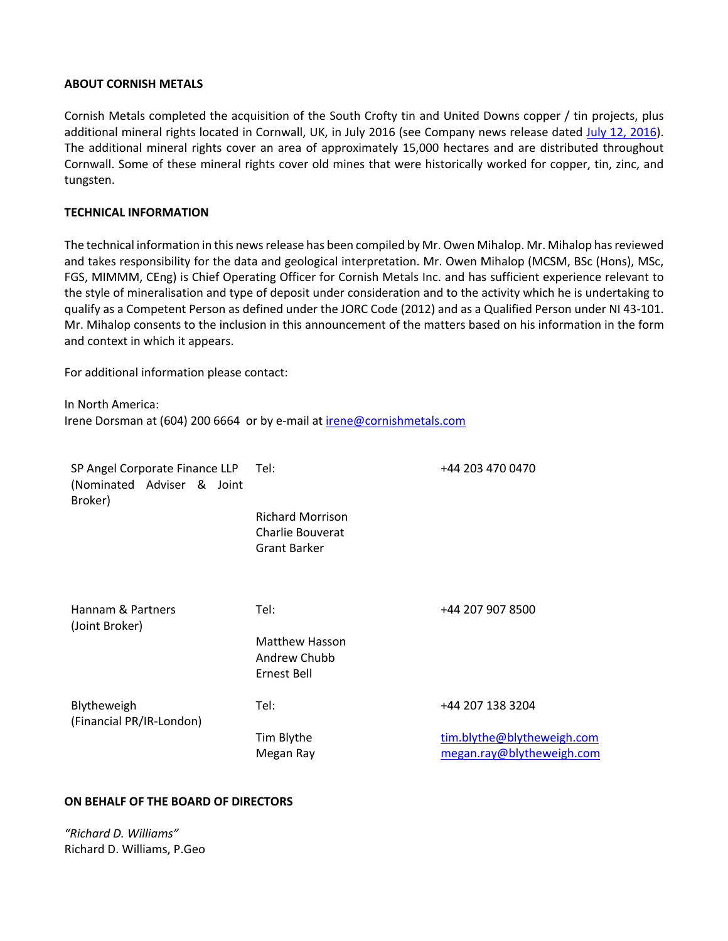### **ABOUT CORNISH METALS**

Cornish Metals completed the acquisition of the South Crofty tin and United Downs copper / tin projects, plus additional mineral rights located in Cornwall, UK, in July 2016 (see Company news release dated July 12, 2016). The additional mineral rights cover an area of approximately 15,000 hectares and are distributed throughout Cornwall. Some of these mineral rights cover old mines that were historically worked for copper, tin, zinc, and tungsten.

### **TECHNICAL INFORMATION**

The technical information in this news release has been compiled by Mr. Owen Mihalop. Mr. Mihalop has reviewed and takes responsibility for the data and geological interpretation. Mr. Owen Mihalop (MCSM, BSc (Hons), MSc, FGS, MIMMM, CEng) is Chief Operating Officer for Cornish Metals Inc. and has sufficient experience relevant to the style of mineralisation and type of deposit under consideration and to the activity which he is undertaking to qualify as a Competent Person as defined under the JORC Code (2012) and as a Qualified Person under NI 43-101. Mr. Mihalop consents to the inclusion in this announcement of the matters based on his information in the form and context in which it appears.

For additional information please contact:

In North America: Irene Dorsman at (604) 200 6664 or by e-mail at irene@cornishmetals.com

| SP Angel Corporate Finance LLP<br>(Nominated Adviser & Joint<br>Broker) | Tel:                                                               | +44 203 470 0470                                        |
|-------------------------------------------------------------------------|--------------------------------------------------------------------|---------------------------------------------------------|
|                                                                         | <b>Richard Morrison</b><br>Charlie Bouverat<br><b>Grant Barker</b> |                                                         |
| Hannam & Partners<br>(Joint Broker)                                     | Tel:                                                               | +44 207 907 8500                                        |
|                                                                         | <b>Matthew Hasson</b><br>Andrew Chubb<br>Ernest Bell               |                                                         |
| Blytheweigh<br>(Financial PR/IR-London)                                 | Tel:                                                               | +44 207 138 3204                                        |
|                                                                         | Tim Blythe<br>Megan Ray                                            | tim.blythe@blytheweigh.com<br>megan.ray@blytheweigh.com |

### **ON BEHALF OF THE BOARD OF DIRECTORS**

*"Richard D. Williams"* Richard D. Williams, P.Geo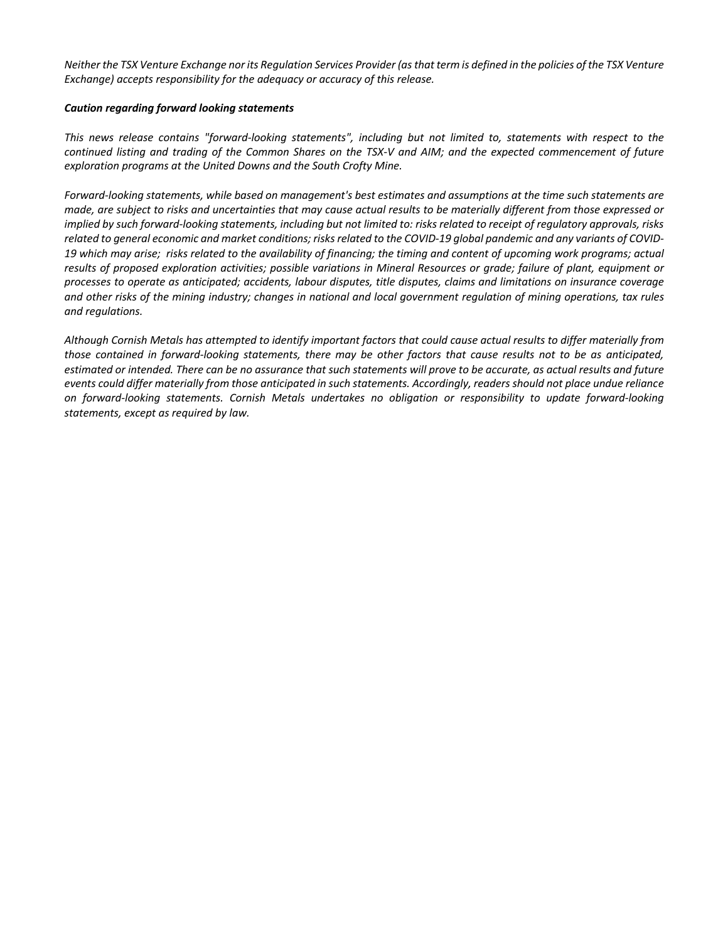*Neither the TSX Venture Exchange nor its Regulation Services Provider (as that term is defined in the policies of the TSX Venture Exchange) accepts responsibility for the adequacy or accuracy of this release.*

### *Caution regarding forward looking statements*

*This news release contains "forward-looking statements", including but not limited to, statements with respect to the continued listing and trading of the Common Shares on the TSX-V and AIM; and the expected commencement of future exploration programs at the United Downs and the South Crofty Mine.*

*Forward-looking statements, while based on management's best estimates and assumptions at the time such statements are made, are subject to risks and uncertainties that may cause actual results to be materially different from those expressed or implied by such forward-looking statements, including but not limited to: risks related to receipt of regulatory approvals, risks related to general economic and market conditions; risks related to the COVID-19 global pandemic and any variants of COVID-19 which may arise; risks related to the availability of financing; the timing and content of upcoming work programs; actual results of proposed exploration activities; possible variations in Mineral Resources or grade; failure of plant, equipment or processes to operate as anticipated; accidents, labour disputes, title disputes, claims and limitations on insurance coverage and other risks of the mining industry; changes in national and local government regulation of mining operations, tax rules and regulations.* 

*Although Cornish Metals has attempted to identify important factors that could cause actual results to differ materially from those contained in forward-looking statements, there may be other factors that cause results not to be as anticipated, estimated or intended. There can be no assurance that such statements will prove to be accurate, as actual results and future events could differ materially from those anticipated in such statements. Accordingly, readers should not place undue reliance on forward-looking statements. Cornish Metals undertakes no obligation or responsibility to update forward-looking statements, except as required by law.*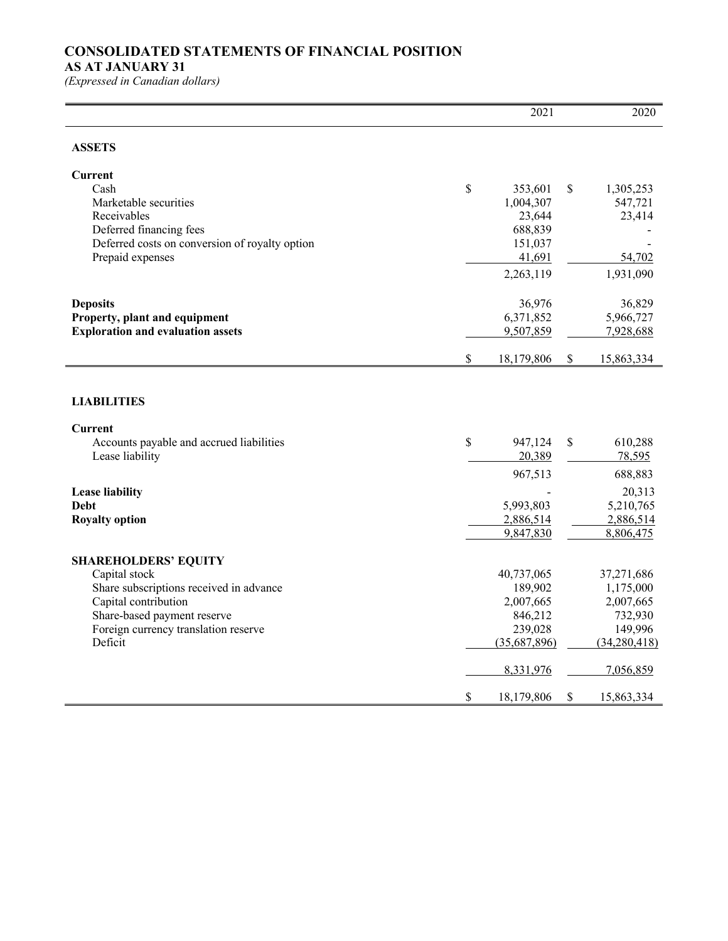# **CONSOLIDATED STATEMENTS OF FINANCIAL POSITION**

### **AS AT JANUARY 31**

 $\overline{a}$ 

|                                                 | 2021                   |               | 2020                   |
|-------------------------------------------------|------------------------|---------------|------------------------|
| <b>ASSETS</b>                                   |                        |               |                        |
| <b>Current</b>                                  |                        |               |                        |
| Cash                                            | \$<br>353,601          | $\mathcal{S}$ | 1,305,253              |
| Marketable securities                           | 1,004,307              |               | 547,721                |
| Receivables                                     | 23,644                 |               | 23,414                 |
| Deferred financing fees                         | 688,839                |               |                        |
| Deferred costs on conversion of royalty option  | 151,037                |               |                        |
| Prepaid expenses                                | 41,691                 |               | 54,702                 |
|                                                 | 2,263,119              |               | 1,931,090              |
| <b>Deposits</b>                                 | 36,976                 |               | 36,829                 |
| Property, plant and equipment                   | 6,371,852              |               | 5,966,727              |
| <b>Exploration and evaluation assets</b>        | 9,507,859              |               | 7,928,688              |
|                                                 | \$<br>18,179,806       | $\mathcal{S}$ | 15,863,334             |
| <b>LIABILITIES</b><br><b>Current</b>            |                        |               |                        |
| Accounts payable and accrued liabilities        | \$<br>947,124          | $\mathcal{S}$ | 610,288                |
| Lease liability                                 | 20,389                 |               | 78,595                 |
|                                                 | 967,513                |               | 688,883                |
| <b>Lease liability</b>                          |                        |               |                        |
|                                                 |                        |               |                        |
| <b>Debt</b>                                     | 5,993,803              |               | 20,313                 |
|                                                 |                        |               | 5,210,765              |
| <b>Royalty option</b>                           | 2,886,514<br>9,847,830 |               | 2,886,514<br>8,806,475 |
|                                                 |                        |               |                        |
| <b>SHAREHOLDERS' EQUITY</b>                     | 40,737,065             |               | 37,271,686             |
| Capital stock                                   |                        |               |                        |
| Share subscriptions received in advance         | 189,902                |               | 1,175,000              |
| Capital contribution                            | 2,007,665              |               | 2,007,665              |
| Share-based payment reserve                     | 846,212<br>239,028     |               | 732,930<br>149,996     |
| Foreign currency translation reserve<br>Deficit | (35,687,896)           |               | (34, 280, 418)         |
|                                                 | 8,331,976              |               | 7,056,859              |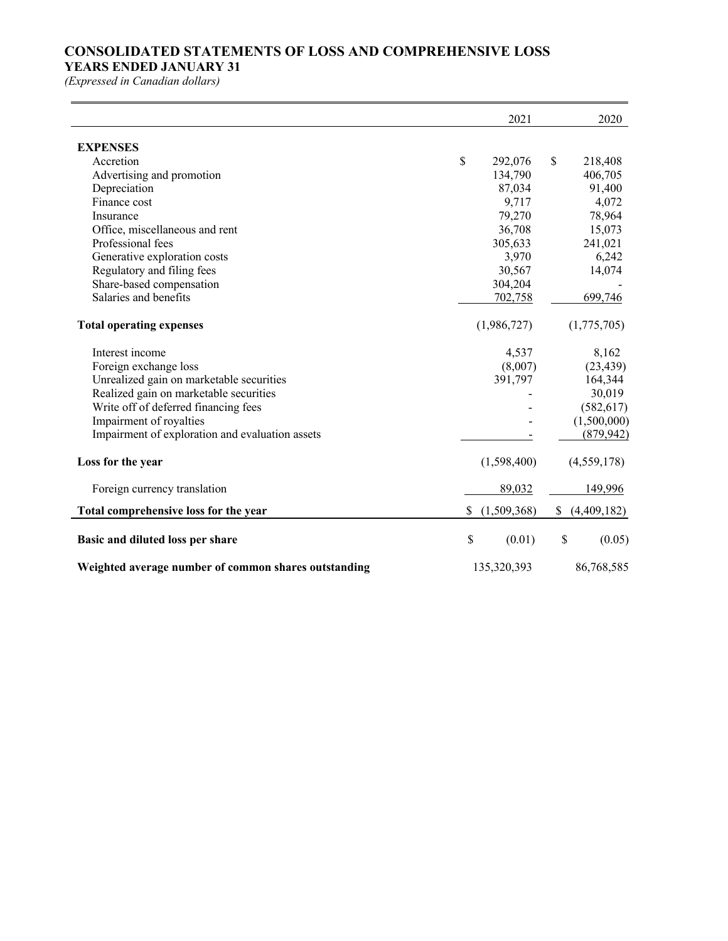# **CONSOLIDATED STATEMENTS OF LOSS AND COMPREHENSIVE LOSS**

### **YEARS ENDED JANUARY 31**

|                                                      |    | 2021        |              | 2020        |
|------------------------------------------------------|----|-------------|--------------|-------------|
| <b>EXPENSES</b>                                      |    |             |              |             |
| Accretion                                            | \$ | 292,076     | $\mathbb{S}$ | 218,408     |
| Advertising and promotion                            |    | 134,790     |              | 406,705     |
| Depreciation                                         |    | 87,034      |              | 91,400      |
| Finance cost                                         |    | 9,717       |              | 4,072       |
| Insurance                                            |    | 79,270      |              | 78,964      |
| Office, miscellaneous and rent                       |    | 36,708      |              | 15,073      |
| Professional fees                                    |    | 305,633     |              | 241,021     |
| Generative exploration costs                         |    | 3,970       |              | 6,242       |
| Regulatory and filing fees                           |    | 30,567      |              | 14,074      |
| Share-based compensation                             |    | 304,204     |              |             |
| Salaries and benefits                                |    | 702,758     |              | 699,746     |
| <b>Total operating expenses</b>                      |    | (1,986,727) |              | (1,775,705) |
| Interest income                                      |    | 4,537       |              | 8,162       |
| Foreign exchange loss                                |    | (8,007)     |              | (23, 439)   |
| Unrealized gain on marketable securities             |    | 391,797     |              | 164,344     |
| Realized gain on marketable securities               |    |             |              | 30,019      |
| Write off of deferred financing fees                 |    |             |              | (582, 617)  |
| Impairment of royalties                              |    |             |              | (1,500,000) |
| Impairment of exploration and evaluation assets      |    |             |              | (879, 942)  |
| Loss for the year                                    |    | (1,598,400) |              | (4,559,178) |
| Foreign currency translation                         |    | 89,032      |              | 149,996     |
| Total comprehensive loss for the year                | S. | (1,509,368) | <sup>S</sup> | (4,409,182) |
| Basic and diluted loss per share                     | \$ | (0.01)      | $\mathbb{S}$ | (0.05)      |
| Weighted average number of common shares outstanding |    | 135,320,393 |              | 86,768,585  |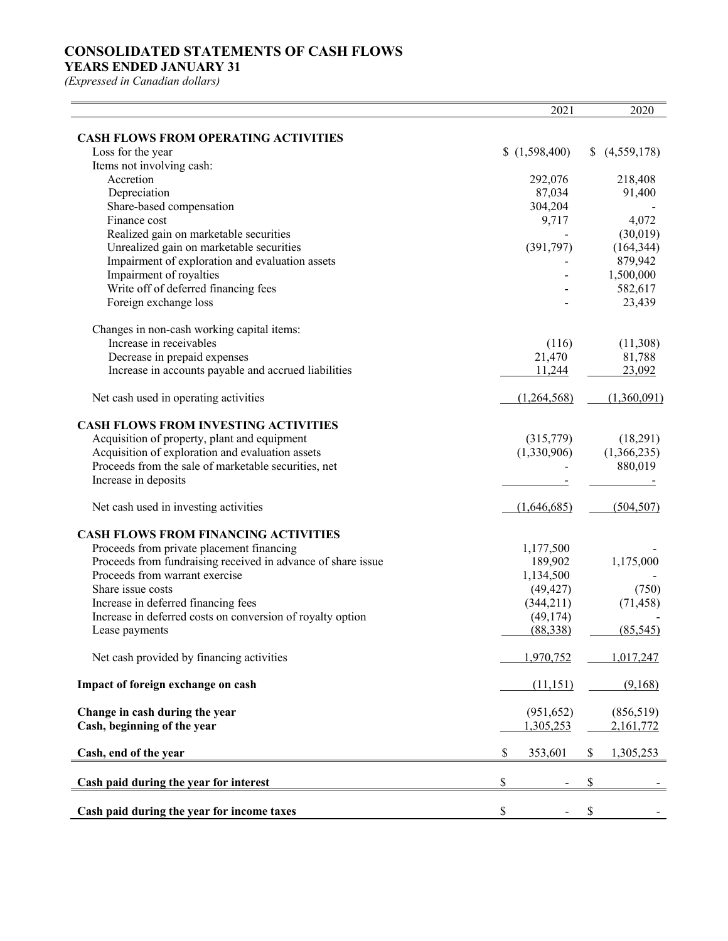# **CONSOLIDATED STATEMENTS OF CASH FLOWS**

### **YEARS ENDED JANUARY 31**

|                                                                 | 2021                               | 2020                 |
|-----------------------------------------------------------------|------------------------------------|----------------------|
|                                                                 |                                    |                      |
| <b>CASH FLOWS FROM OPERATING ACTIVITIES</b>                     |                                    |                      |
| Loss for the year                                               | (1,598,400)                        | (4,559,178)          |
| Items not involving cash:                                       |                                    |                      |
| Accretion                                                       | 292,076                            | 218,408              |
| Depreciation                                                    | 87,034                             | 91,400               |
| Share-based compensation                                        | 304,204                            |                      |
| Finance cost                                                    | 9,717                              | 4,072                |
| Realized gain on marketable securities                          |                                    | (30,019)             |
| Unrealized gain on marketable securities                        | (391,797)                          | (164, 344)           |
| Impairment of exploration and evaluation assets                 |                                    | 879,942<br>1,500,000 |
| Impairment of royalties<br>Write off of deferred financing fees |                                    |                      |
| Foreign exchange loss                                           |                                    | 582,617<br>23,439    |
|                                                                 |                                    |                      |
| Changes in non-cash working capital items:                      |                                    |                      |
| Increase in receivables                                         | (116)                              | (11,308)             |
| Decrease in prepaid expenses                                    | 21,470                             | 81,788               |
| Increase in accounts payable and accrued liabilities            | 11,244                             | 23,092               |
|                                                                 |                                    |                      |
| Net cash used in operating activities                           | (1,264,568)                        | (1,360,091)          |
|                                                                 |                                    |                      |
| <b>CASH FLOWS FROM INVESTING ACTIVITIES</b>                     |                                    |                      |
| Acquisition of property, plant and equipment                    | (315,779)                          | (18,291)             |
| Acquisition of exploration and evaluation assets                | (1,330,906)                        | (1,366,235)          |
| Proceeds from the sale of marketable securities, net            |                                    | 880,019              |
| Increase in deposits                                            |                                    |                      |
|                                                                 |                                    |                      |
| Net cash used in investing activities                           | (1,646,685)                        | (504, 507)           |
| <b>CASH FLOWS FROM FINANCING ACTIVITIES</b>                     |                                    |                      |
| Proceeds from private placement financing                       | 1,177,500                          |                      |
| Proceeds from fundraising received in advance of share issue    | 189,902                            | 1,175,000            |
| Proceeds from warrant exercise                                  | 1,134,500                          |                      |
| Share issue costs                                               | (49, 427)                          | (750)                |
| Increase in deferred financing fees                             | (344,211)                          | (71, 458)            |
| Increase in deferred costs on conversion of royalty option      | (49, 174)                          |                      |
| Lease payments                                                  | (88, 338)                          | (85, 545)            |
|                                                                 |                                    |                      |
| Net cash provided by financing activities                       | 1,970,752                          | 1,017,247            |
|                                                                 |                                    |                      |
| Impact of foreign exchange on cash                              | (11, 151)                          | (9,168)              |
|                                                                 |                                    |                      |
| Change in cash during the year                                  | (951, 652)                         | (856, 519)           |
| Cash, beginning of the year                                     | 1,305,253                          | 2,161,772            |
|                                                                 |                                    |                      |
| Cash, end of the year                                           | \$<br>353,601                      | 1,305,253<br>\$      |
| Cash paid during the year for interest                          | \$<br>$\qquad \qquad \blacksquare$ | \$                   |
|                                                                 |                                    |                      |
| Cash paid during the year for income taxes                      | \$                                 | $\mathbb S$          |